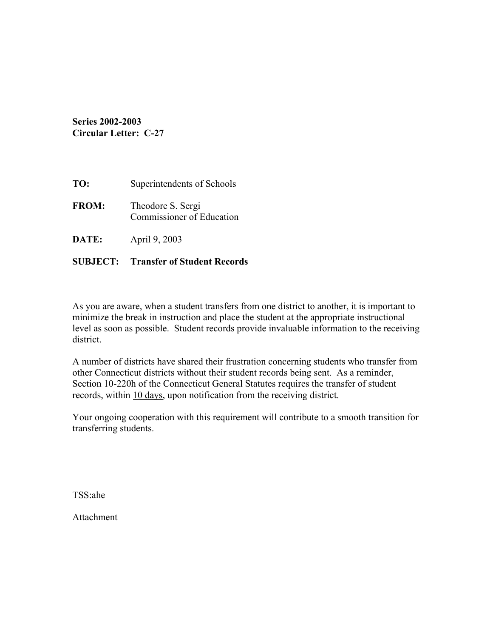**Series 2002-2003 Circular Letter: C-27** 

| TO:          | Superintendents of Schools                     |
|--------------|------------------------------------------------|
| <b>FROM:</b> | Theodore S. Sergi<br>Commissioner of Education |
| DATE:        | April 9, 2003                                  |

## **SUBJECT: Transfer of Student Records**

As you are aware, when a student transfers from one district to another, it is important to minimize the break in instruction and place the student at the appropriate instructional level as soon as possible. Student records provide invaluable information to the receiving district.

A number of districts have shared their frustration concerning students who transfer from other Connecticut districts without their student records being sent. As a reminder, Section 10-220h of the Connecticut General Statutes requires the transfer of student records, within 10 days, upon notification from the receiving district.

Your ongoing cooperation with this requirement will contribute to a smooth transition for transferring students.

TSS:ahe

Attachment